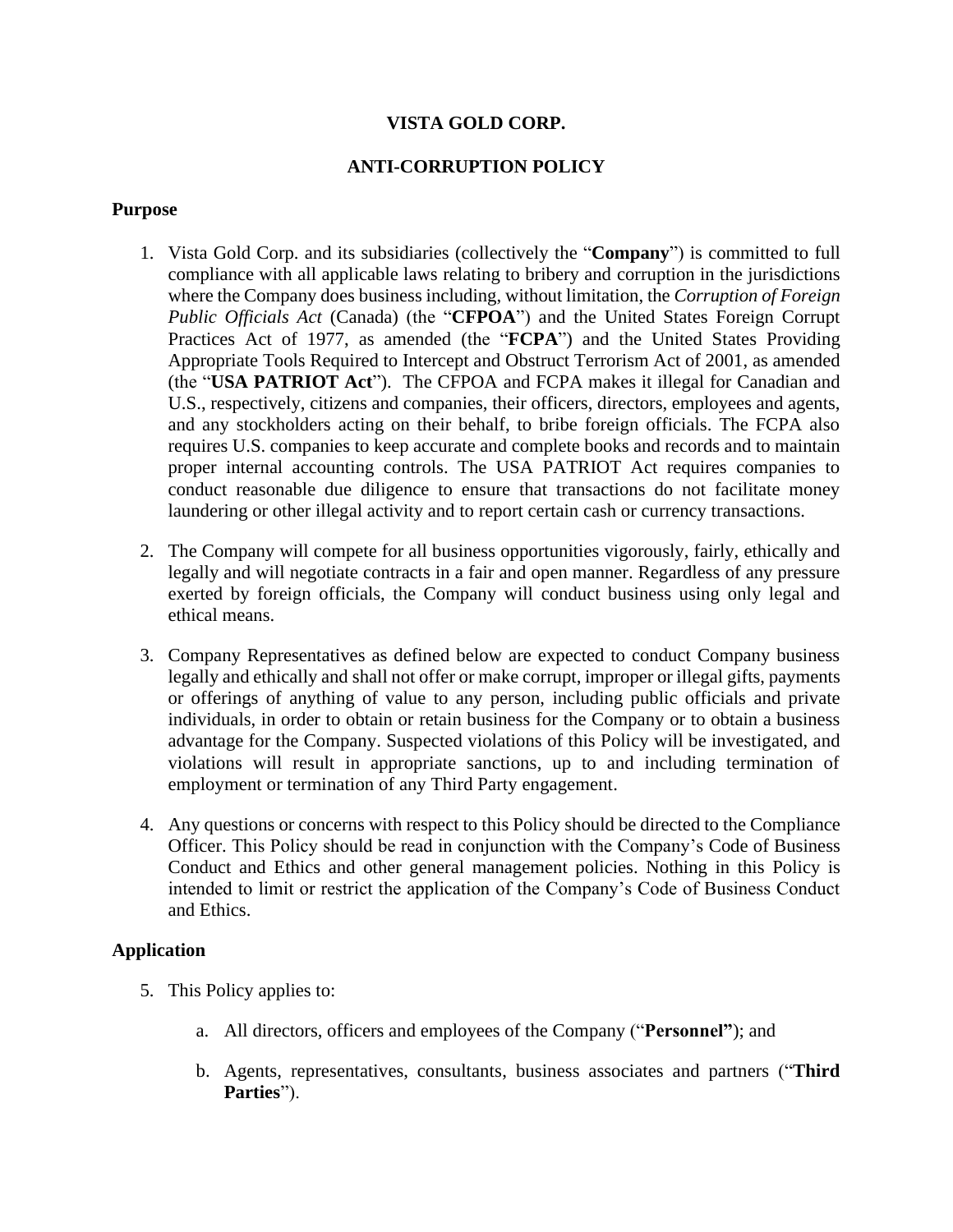#### **VISTA GOLD CORP.**

#### **ANTI-CORRUPTION POLICY**

#### **Purpose**

- 1. Vista Gold Corp. and its subsidiaries (collectively the "**Company**") is committed to full compliance with all applicable laws relating to bribery and corruption in the jurisdictions where the Company does business including, without limitation, the *Corruption of Foreign Public Officials Act* (Canada) (the "**CFPOA**") and the United States Foreign Corrupt Practices Act of 1977, as amended (the "**FCPA**") and the United States Providing Appropriate Tools Required to Intercept and Obstruct Terrorism Act of 2001, as amended (the "**USA PATRIOT Act**"). The CFPOA and FCPA makes it illegal for Canadian and U.S., respectively, citizens and companies, their officers, directors, employees and agents, and any stockholders acting on their behalf, to bribe foreign officials. The FCPA also requires U.S. companies to keep accurate and complete books and records and to maintain proper internal accounting controls. The USA PATRIOT Act requires companies to conduct reasonable due diligence to ensure that transactions do not facilitate money laundering or other illegal activity and to report certain cash or currency transactions.
- 2. The Company will compete for all business opportunities vigorously, fairly, ethically and legally and will negotiate contracts in a fair and open manner. Regardless of any pressure exerted by foreign officials, the Company will conduct business using only legal and ethical means.
- 3. Company Representatives as defined below are expected to conduct Company business legally and ethically and shall not offer or make corrupt, improper or illegal gifts, payments or offerings of anything of value to any person, including public officials and private individuals, in order to obtain or retain business for the Company or to obtain a business advantage for the Company. Suspected violations of this Policy will be investigated, and violations will result in appropriate sanctions, up to and including termination of employment or termination of any Third Party engagement.
- 4. Any questions or concerns with respect to this Policy should be directed to the Compliance Officer. This Policy should be read in conjunction with the Company's Code of Business Conduct and Ethics and other general management policies. Nothing in this Policy is intended to limit or restrict the application of the Company's Code of Business Conduct and Ethics.

#### **Application**

- 5. This Policy applies to:
	- a. All directors, officers and employees of the Company ("**Personnel"**); and
	- b. Agents, representatives, consultants, business associates and partners ("**Third Parties**").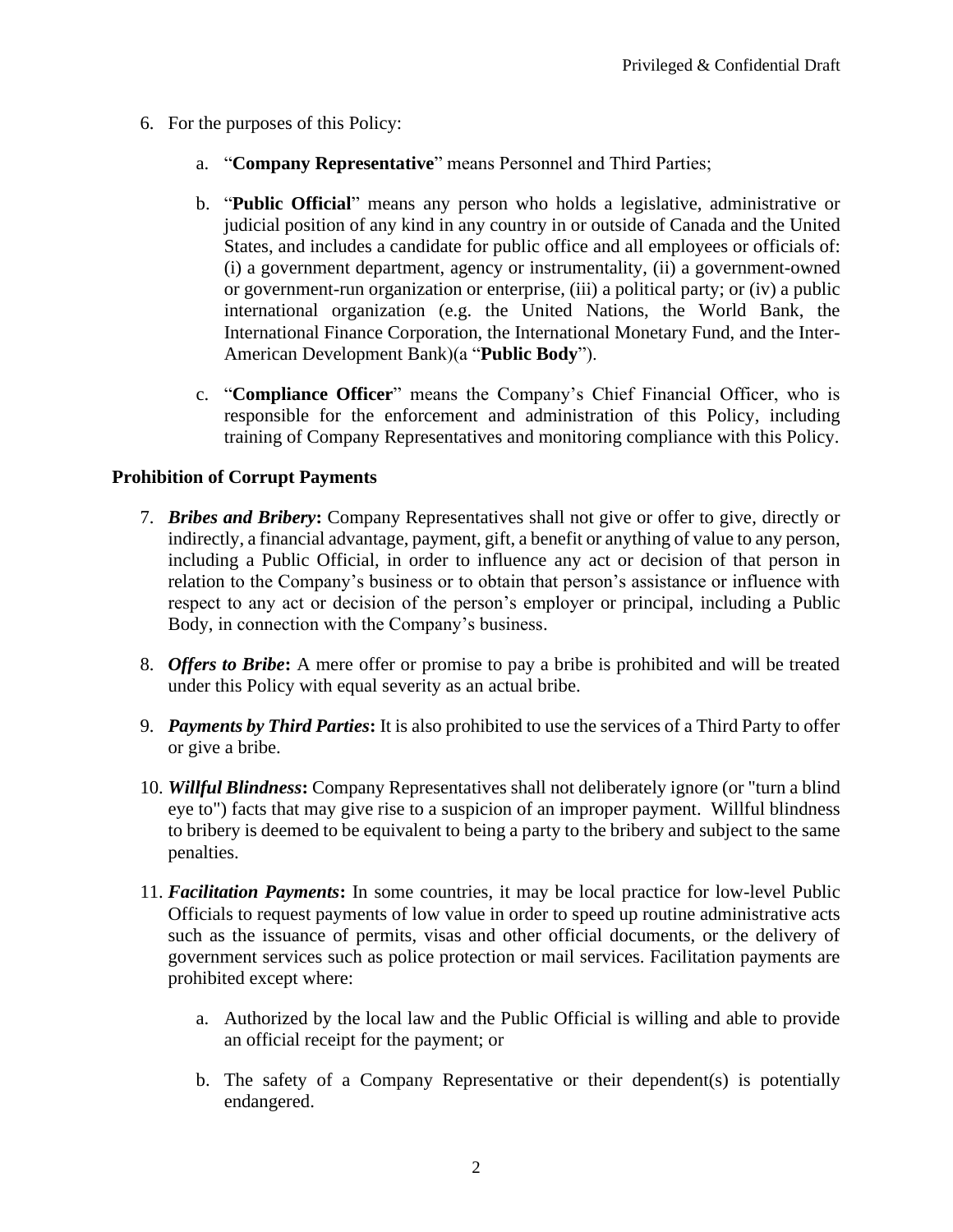- 6. For the purposes of this Policy:
	- a. "**Company Representative**" means Personnel and Third Parties;
	- b. "**Public Official**" means any person who holds a legislative, administrative or judicial position of any kind in any country in or outside of Canada and the United States, and includes a candidate for public office and all employees or officials of: (i) a government department, agency or instrumentality, (ii) a government-owned or government-run organization or enterprise, (iii) a political party; or (iv) a public international organization (e.g. the United Nations, the World Bank, the International Finance Corporation, the International Monetary Fund, and the Inter-American Development Bank)(a "**Public Body**").
	- c. "**Compliance Officer**" means the Company's Chief Financial Officer, who is responsible for the enforcement and administration of this Policy, including training of Company Representatives and monitoring compliance with this Policy.

### **Prohibition of Corrupt Payments**

- 7. *Bribes and Bribery***:** Company Representatives shall not give or offer to give, directly or indirectly, a financial advantage, payment, gift, a benefit or anything of value to any person, including a Public Official, in order to influence any act or decision of that person in relation to the Company's business or to obtain that person's assistance or influence with respect to any act or decision of the person's employer or principal, including a Public Body, in connection with the Company's business.
- 8. *Offers to Bribe***:** A mere offer or promise to pay a bribe is prohibited and will be treated under this Policy with equal severity as an actual bribe.
- 9. *Payments by Third Parties***:** It is also prohibited to use the services of a Third Party to offer or give a bribe.
- 10. *Willful Blindness***:** Company Representatives shall not deliberately ignore (or "turn a blind eye to") facts that may give rise to a suspicion of an improper payment. Willful blindness to bribery is deemed to be equivalent to being a party to the bribery and subject to the same penalties.
- 11. *Facilitation Payments***:** In some countries, it may be local practice for low-level Public Officials to request payments of low value in order to speed up routine administrative acts such as the issuance of permits, visas and other official documents, or the delivery of government services such as police protection or mail services. Facilitation payments are prohibited except where:
	- a. Authorized by the local law and the Public Official is willing and able to provide an official receipt for the payment; or
	- b. The safety of a Company Representative or their dependent(s) is potentially endangered.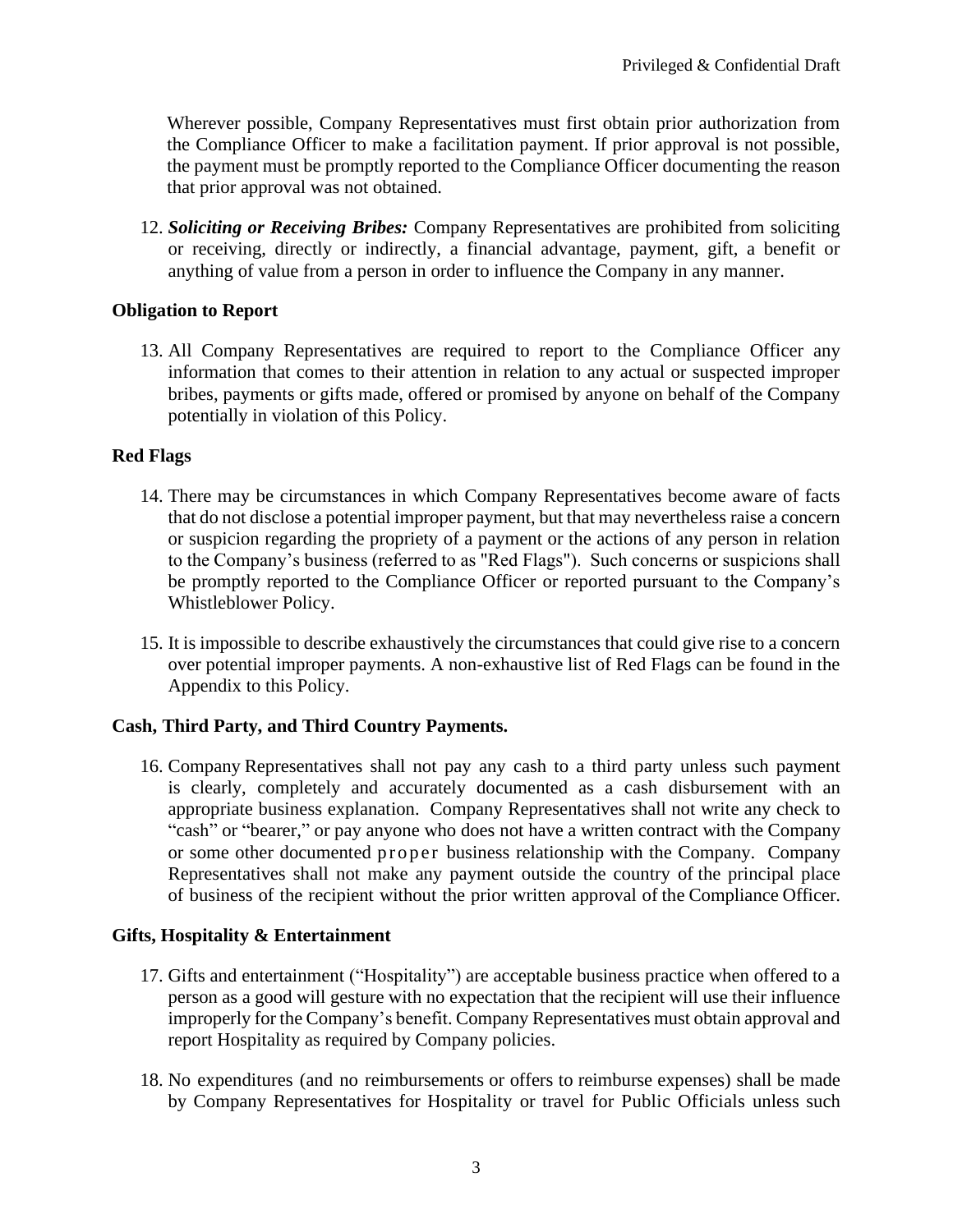Wherever possible, Company Representatives must first obtain prior authorization from the Compliance Officer to make a facilitation payment. If prior approval is not possible, the payment must be promptly reported to the Compliance Officer documenting the reason that prior approval was not obtained.

12. *Soliciting or Receiving Bribes:* Company Representatives are prohibited from soliciting or receiving, directly or indirectly, a financial advantage, payment, gift, a benefit or anything of value from a person in order to influence the Company in any manner.

# **Obligation to Report**

13. All Company Representatives are required to report to the Compliance Officer any information that comes to their attention in relation to any actual or suspected improper bribes, payments or gifts made, offered or promised by anyone on behalf of the Company potentially in violation of this Policy.

### **Red Flags**

- 14. There may be circumstances in which Company Representatives become aware of facts that do not disclose a potential improper payment, but that may nevertheless raise a concern or suspicion regarding the propriety of a payment or the actions of any person in relation to the Company's business (referred to as "Red Flags"). Such concerns or suspicions shall be promptly reported to the Compliance Officer or reported pursuant to the Company's Whistleblower Policy.
- 15. It is impossible to describe exhaustively the circumstances that could give rise to a concern over potential improper payments. A non-exhaustive list of Red Flags can be found in the Appendix to this Policy.

# **Cash, Third Party, and Third Country Payments.**

16. Company Representatives shall not pay any cash to a third party unless such payment is clearly, completely and accurately documented as a cash disbursement with an appropriate business explanation. Company Representatives shall not write any check to "cash" or "bearer," or pay anyone who does not have a written contract with the Company or some other documented proper business relationship with the Company. Company Representatives shall not make any payment outside the country of the principal place of business of the recipient without the prior written approval of the Compliance Officer.

### **Gifts, Hospitality & Entertainment**

- 17. Gifts and entertainment ("Hospitality") are acceptable business practice when offered to a person as a good will gesture with no expectation that the recipient will use their influence improperly for the Company's benefit. Company Representatives must obtain approval and report Hospitality as required by Company policies.
- 18. No expenditures (and no reimbursements or offers to reimburse expenses) shall be made by Company Representatives for Hospitality or travel for Public Officials unless such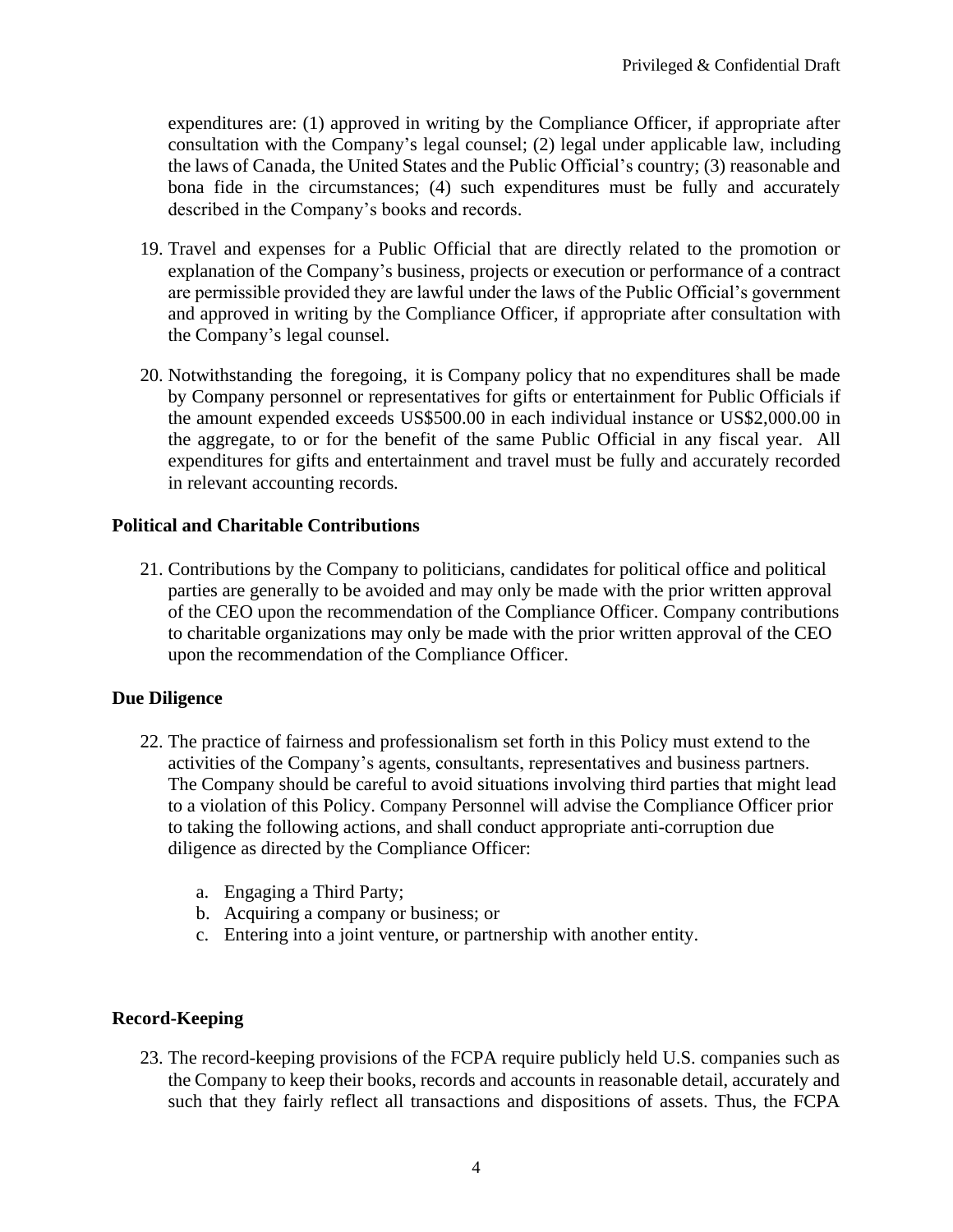expenditures are: (1) approved in writing by the Compliance Officer, if appropriate after consultation with the Company's legal counsel; (2) legal under applicable law, including the laws of Canada, the United States and the Public Official's country; (3) reasonable and bona fide in the circumstances; (4) such expenditures must be fully and accurately described in the Company's books and records.

- 19. Travel and expenses for a Public Official that are directly related to the promotion or explanation of the Company's business, projects or execution or performance of a contract are permissible provided they are lawful under the laws of the Public Official's government and approved in writing by the Compliance Officer, if appropriate after consultation with the Company's legal counsel.
- 20. Notwithstanding the foregoing, it is Company policy that no expenditures shall be made by Company personnel or representatives for gifts or entertainment for Public Officials if the amount expended exceeds US\$500.00 in each individual instance or US\$2,000.00 in the aggregate, to or for the benefit of the same Public Official in any fiscal year. All expenditures for gifts and entertainment and travel must be fully and accurately recorded in relevant accounting records.

# **Political and Charitable Contributions**

21. Contributions by the Company to politicians, candidates for political office and political parties are generally to be avoided and may only be made with the prior written approval of the CEO upon the recommendation of the Compliance Officer. Company contributions to charitable organizations may only be made with the prior written approval of the CEO upon the recommendation of the Compliance Officer.

# **Due Diligence**

- 22. The practice of fairness and professionalism set forth in this Policy must extend to the activities of the Company's agents, consultants, representatives and business partners. The Company should be careful to avoid situations involving third parties that might lead to a violation of this Policy. Company Personnel will advise the Compliance Officer prior to taking the following actions, and shall conduct appropriate anti-corruption due diligence as directed by the Compliance Officer:
	- a. Engaging a Third Party;
	- b. Acquiring a company or business; or
	- c. Entering into a joint venture, or partnership with another entity.

# **Record-Keeping**

23. The record-keeping provisions of the FCPA require publicly held U.S. companies such as the Company to keep their books, records and accounts in reasonable detail, accurately and such that they fairly reflect all transactions and dispositions of assets. Thus, the FCPA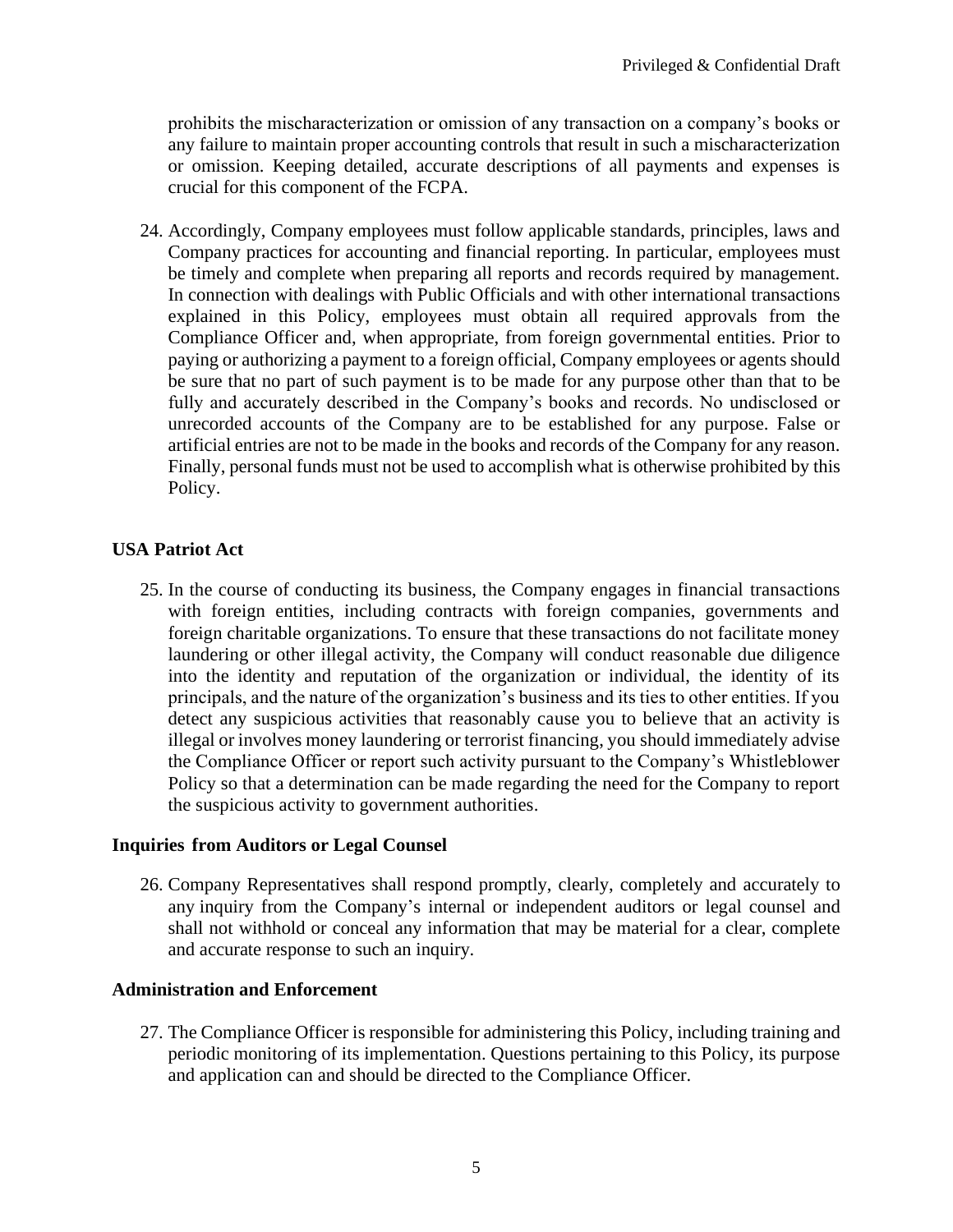prohibits the mischaracterization or omission of any transaction on a company's books or any failure to maintain proper accounting controls that result in such a mischaracterization or omission. Keeping detailed, accurate descriptions of all payments and expenses is crucial for this component of the FCPA.

24. Accordingly, Company employees must follow applicable standards, principles, laws and Company practices for accounting and financial reporting. In particular, employees must be timely and complete when preparing all reports and records required by management. In connection with dealings with Public Officials and with other international transactions explained in this Policy, employees must obtain all required approvals from the Compliance Officer and, when appropriate, from foreign governmental entities. Prior to paying or authorizing a payment to a foreign official, Company employees or agents should be sure that no part of such payment is to be made for any purpose other than that to be fully and accurately described in the Company's books and records. No undisclosed or unrecorded accounts of the Company are to be established for any purpose. False or artificial entries are not to be made in the books and records of the Company for any reason. Finally, personal funds must not be used to accomplish what is otherwise prohibited by this Policy.

# **USA Patriot Act**

25. In the course of conducting its business, the Company engages in financial transactions with foreign entities, including contracts with foreign companies, governments and foreign charitable organizations. To ensure that these transactions do not facilitate money laundering or other illegal activity, the Company will conduct reasonable due diligence into the identity and reputation of the organization or individual, the identity of its principals, and the nature of the organization's business and its ties to other entities. If you detect any suspicious activities that reasonably cause you to believe that an activity is illegal or involves money laundering or terrorist financing, you should immediately advise the Compliance Officer or report such activity pursuant to the Company's Whistleblower Policy so that a determination can be made regarding the need for the Company to report the suspicious activity to government authorities.

### **Inquiries from Auditors or Legal Counsel**

26. Company Representatives shall respond promptly, clearly, completely and accurately to any inquiry from the Company's internal or independent auditors or legal counsel and shall not withhold or conceal any information that may be material for a clear, complete and accurate response to such an inquiry.

### **Administration and Enforcement**

27. The Compliance Officer is responsible for administering this Policy, including training and periodic monitoring of its implementation. Questions pertaining to this Policy, its purpose and application can and should be directed to the Compliance Officer.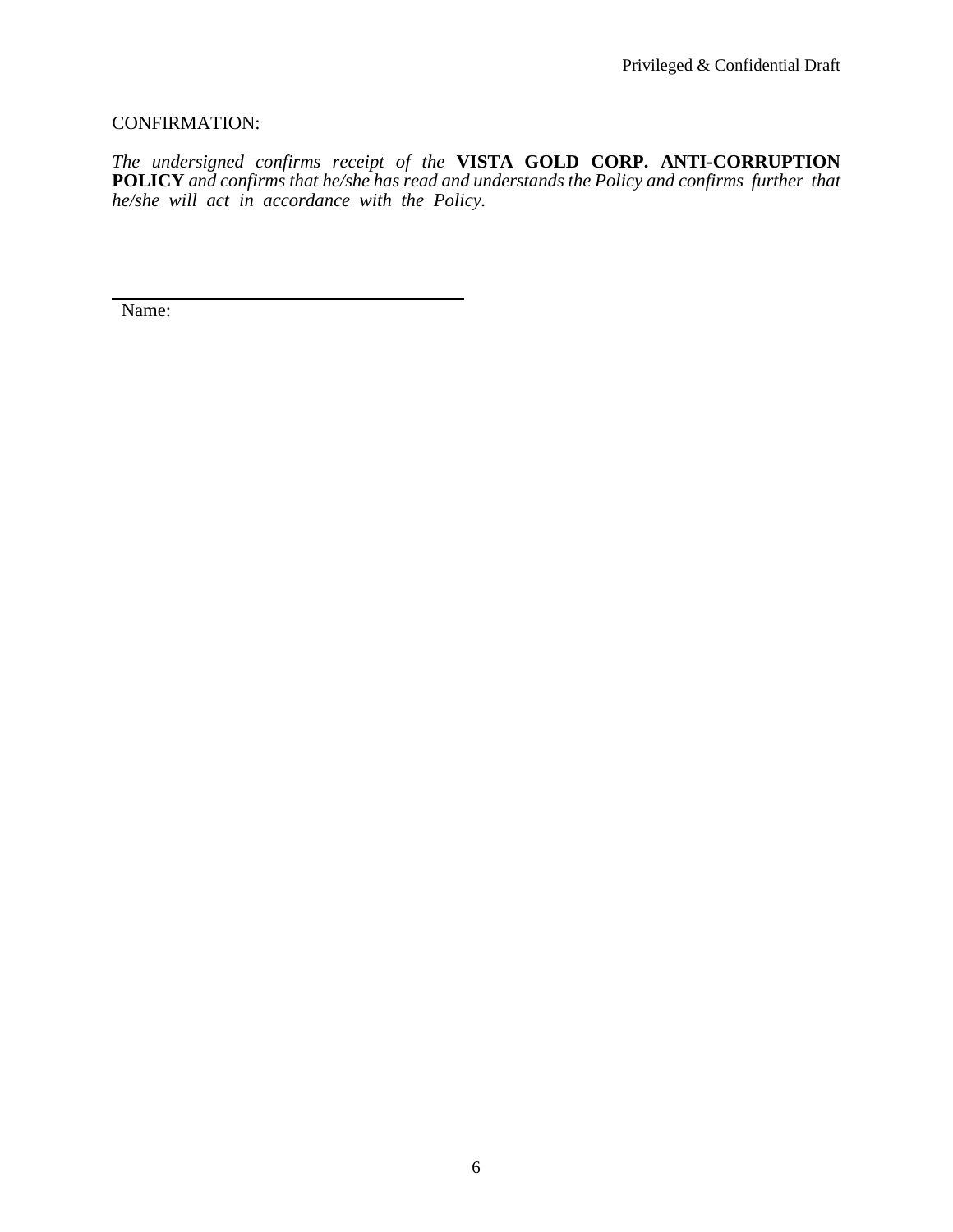### CONFIRMATION:

*The undersigned confirms receipt of the* **VISTA GOLD CORP. ANTI-CORRUPTION POLICY** *and confirms that he/she has read and understands the Policy and confirms further that he/she will act in accordance with the Policy.*

Name: